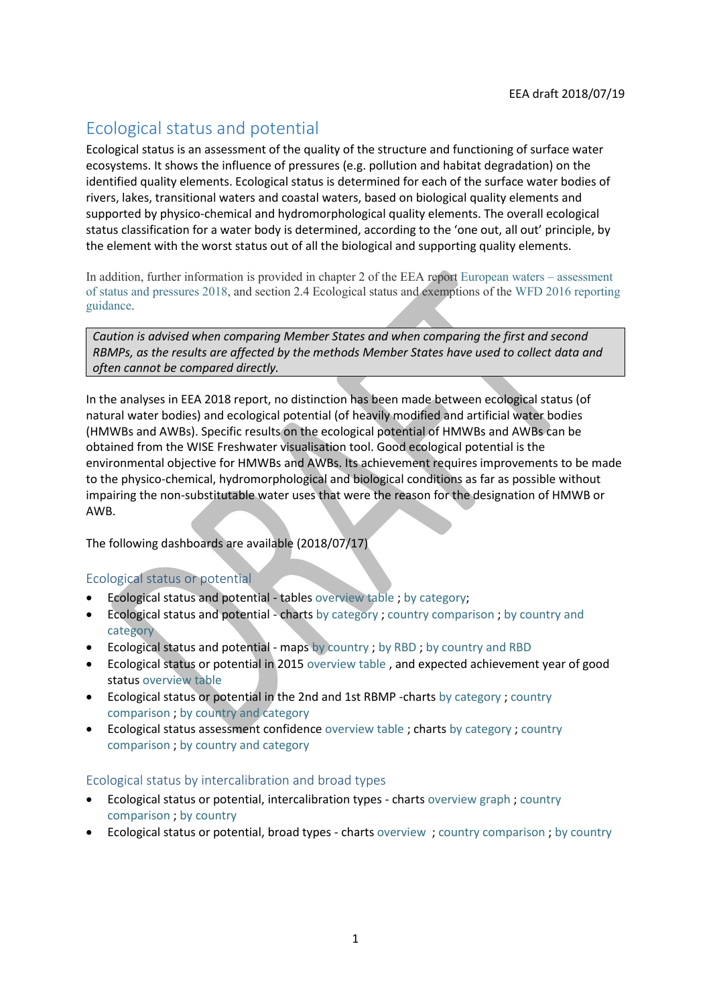# Ecological status and potential

Ecological status is an assessment of the quality of the structure and functioning of surface water ecosystems. It shows the influence of pressures (e.g. pollution and habitat degradation) on the identified quality elements. Ecological status is determined for each of the surface water bodies of rivers, lakes, transitional waters and coastal waters, based on biological quality elements and supported by physico-chemical and hydromorphological quality elements. The overall ecological status classification for a water body is determined, according to the 'one out, all out' principle, by the element with the worst status out of all the biological and supporting quality elements.

In addition, further information is provided in chapter 2 of the EEA repor[t European waters](https://www.eea.europa.eu/publications/state-of-water) – assessment [of status and pressures 2018,](https://www.eea.europa.eu/publications/state-of-water) and section 2.4 Ecological status and exemptions of the [WFD 2016 reporting](http://cdr.eionet.europa.eu/help/WFD/WFD_521_2016)  [guidance.](http://cdr.eionet.europa.eu/help/WFD/WFD_521_2016)

*Caution is advised when comparing Member States and when comparing the first and second RBMPs, as the results are affected by the methods Member States have used to collect data and often cannot be compared directly.*

In the analyses in EEA 2018 report, no distinction has been made between ecological status (of natural water bodies) and ecological potential (of heavily modified and artificial water bodies (HMWBs and AWBs). Specific results on the ecological potential of HMWBs and AWBs can be obtained from the WISE Freshwater visualisation tool. Good ecological potential is the environmental objective for HMWBs and AWBs. Its achievement requires improvements to be made to the physico-chemical, hydromorphological and biological conditions as far as possible without impairing the non-substitutable water uses that were the reason for the designation of HMWB or AWB.

The following dashboards are available (2018/07/17)

## Ecological status or potential

- Ecological status and potential tables [overview table](https://tableau.discomap.eea.europa.eu/t/Wateronline/views/WISE_SOW_SurfaceWater_Statistics/SWBbyEcologicalstatusgroup?:embed=y&:showShareOptions=true&:display_count=no&:showVizHome=no) ; by [category;](https://tableau.discomap.eea.europa.eu/t/Wateronline/views/WISE_SOW_SurfaceWater_Statistics/SWBbyCategoryandEcologicalstatus?:embed=y&:showShareOptions=true&:display_count=no&:showVizHome=no)
- Ecological status and potential charts [by category](https://tableau.discomap.eea.europa.eu/t/Wateronline/views/WISE_SOW_Status/SWB_Status_Category?:embed=y&:showAppBanner=false&:showShareOptions=true&:display_count=no&:showVizHome=no) ; [country comparison](https://tableau.discomap.eea.europa.eu/t/Wateronline/views/WISE_SOW_Status/SWB_Status_Country?:embed=y&:showAppBanner=false&:showShareOptions=true&:display_count=no&:showVizHome=no) ; [by country and](https://tableau.discomap.eea.europa.eu/t/Wateronline/views/WISE_SOW_Status/SWB_Status_Category_Country?:embed=y&:showAppBanner=false&:showShareOptions=true&:display_count=no&:showVizHome=no)  [category](https://tableau.discomap.eea.europa.eu/t/Wateronline/views/WISE_SOW_Status/SWB_Status_Category_Country?:embed=y&:showAppBanner=false&:showShareOptions=true&:display_count=no&:showVizHome=no)
- Ecological status and potential maps [by country](https://tableau.discomap.eea.europa.eu/t/Wateronline/views/WISE_SOW_SWB_Status_Maps/SWB_Status_NUTS0?iframeSizedToWindow=true&:embed=y&:showAppBanner=false&:display_count=no&:showVizHome=no) ; [by RBD](https://tableau.discomap.eea.europa.eu/t/Wateronline/views/WISE_SOW_SWB_Status_Maps/SWB_Status_RBD?iframeSizedToWindow=true&:embed=y&:showAppBanner=false&:display_count=no&:showVizHome=no) ; [by country and RBD](https://tableau.discomap.eea.europa.eu/t/Wateronline/views/WISE_SOW_SWB_Status_Maps/SWB_Status_Country?iframeSizedToWindow=true&:embed=y&:showAppBanner=false&:display_count=no&:showVizHome=no)
- Ecological status or potential in 2015 [overview table](https://tableau.discomap.eea.europa.eu/t/Wateronline/views/WISE_SOW_SWB_ExpectedStatus/SWB_swEcologicalStatusOrPotentialExpectedGoodIn2015?:embed=y&:showAppBanner=false&:showShareOptions=true&:display_count=no&:showVizHome=no) , and expected achievement year of good status [overview table](https://tableau.discomap.eea.europa.eu/t/Wateronline/views/WISE_SOW_SWB_ExpectedStatus/SWB_EcologicalStatusExpectedDate?:embed=y&:showAppBanner=false&:showShareOptions=true&:display_count=no&:showVizHome=no)
- Ecological status or potential in the 2nd and 1st RBMP -charts [by category](https://tableau.discomap.eea.europa.eu/t/Wateronline/views/WISE_SOW_SWB_Status_Compare/SWB_EcologicalStatus_Category?:embed=y&:showAppBanner=false&:showShareOptions=true&:display_count=no&:showVizHome=no) ; [country](https://tableau.discomap.eea.europa.eu/t/Wateronline/views/WISE_SOW_SWB_Status_Compare/SWB_EcologicalStatus_Country?:embed=y&:showAppBanner=false&:showShareOptions=true&:display_count=no&:showVizHome=no)  [comparison](https://tableau.discomap.eea.europa.eu/t/Wateronline/views/WISE_SOW_SWB_Status_Compare/SWB_EcologicalStatus_Country?:embed=y&:showAppBanner=false&:showShareOptions=true&:display_count=no&:showVizHome=no) ; [by country and category](https://tableau.discomap.eea.europa.eu/t/Wateronline/views/WISE_SOW_SWB_Status_Compare/SWB_EcologicalStatus_CategoryCountry?:embed=y&:showAppBanner=false&:showShareOptions=true&:display_count=no&:showVizHome=no)
- Ecological status assessment confidence [overview table](https://tableau.discomap.eea.europa.eu/t/Wateronline/views/WISE_SOW_SWB_ExpectedStatus/SWB_swEcologicalAssessmentConfidence?:embed=y&:showAppBanner=false&:showShareOptions=true&:display_count=no&:showVizHome=no) ; charts [by category](https://tableau.discomap.eea.europa.eu/t/Wateronline/views/WISE_SOW_AssessmentConfidence/SWB_Confidence_Category?:embed=y&:showAppBanner=false&:showShareOptions=true&:display_count=no&:showVizHome=no) ; [country](https://tableau.discomap.eea.europa.eu/t/Wateronline/views/WISE_SOW_AssessmentConfidence/SWB_Confidence_Country?:iid=2&:embed=y&:isGuestRedirectFromVizportal=y&:display_count=no&:showVizHome=no)  [comparison](https://tableau.discomap.eea.europa.eu/t/Wateronline/views/WISE_SOW_AssessmentConfidence/SWB_Confidence_Country?:iid=2&:embed=y&:isGuestRedirectFromVizportal=y&:display_count=no&:showVizHome=no) ; [by country and category](https://tableau.discomap.eea.europa.eu/t/Wateronline/views/WISE_SOW_AssessmentConfidence/SWB_Confidence_Category_Country?:embed=y&:showAppBanner=false&:showShareOptions=true&:display_count=no&:showVizHome=no)

## Ecological status by intercalibration and broad types

- Ecological status or potential, intercalibration types charts [overview graph](https://tableau.discomap.eea.europa.eu/t/Wateronline/views/WISE_SOW_SWB_surfaceWaterBodyIntercalibrationType/SWB_Status_IntercalibrationType?iframeSizedToWindow=true&:embed=y&:showAppBanner=false&:display_count=no&:showVizHome=no) ; [country](https://tableau.discomap.eea.europa.eu/t/Wateronline/views/WISE_SOW_SWB_surfaceWaterBodyIntercalibrationType/SWB_Status_Country?iframeSizedToWindow=true&:embed=y&:showAppBanner=false&:display_count=no&:showVizHome=no)  [comparison](https://tableau.discomap.eea.europa.eu/t/Wateronline/views/WISE_SOW_SWB_surfaceWaterBodyIntercalibrationType/SWB_Status_Country?iframeSizedToWindow=true&:embed=y&:showAppBanner=false&:display_count=no&:showVizHome=no) ; [by country](https://tableau.discomap.eea.europa.eu/t/Wateronline/views/WISE_SOW_SWB_surfaceWaterBodyIntercalibrationType/SWB_Status_Intercalibration_Country?iframeSizedToWindow=true&:embed=y&:showAppBanner=false&:display_count=no&:showVizHome=no)
- Ecological status or potential, broad types charts [overview](https://tableau.discomap.eea.europa.eu/t/Wateronline/views/WISE_SOW_BroadType_G/SWB_Status_BroadType?iframeSizedToWindow=true&:embed=y&:showAppBanner=false&:display_count=no&:showVizHome=no) ; [country comparison](https://tableau.discomap.eea.europa.eu/t/Wateronline/views/WISE_SOW_BroadType_G/SWB_Status_Country?iframeSizedToWindow=true&:embed=y&:showAppBanner=false&:display_count=no&:showVizHome=no) ; [by country](https://tableau.discomap.eea.europa.eu/t/Wateronline/views/WISE_SOW_BroadType_G/SWB_Status_BroadType_Country?iframeSizedToWindow=true&:embed=y&:showAppBanner=false&:display_count=no&:showVizHome=no)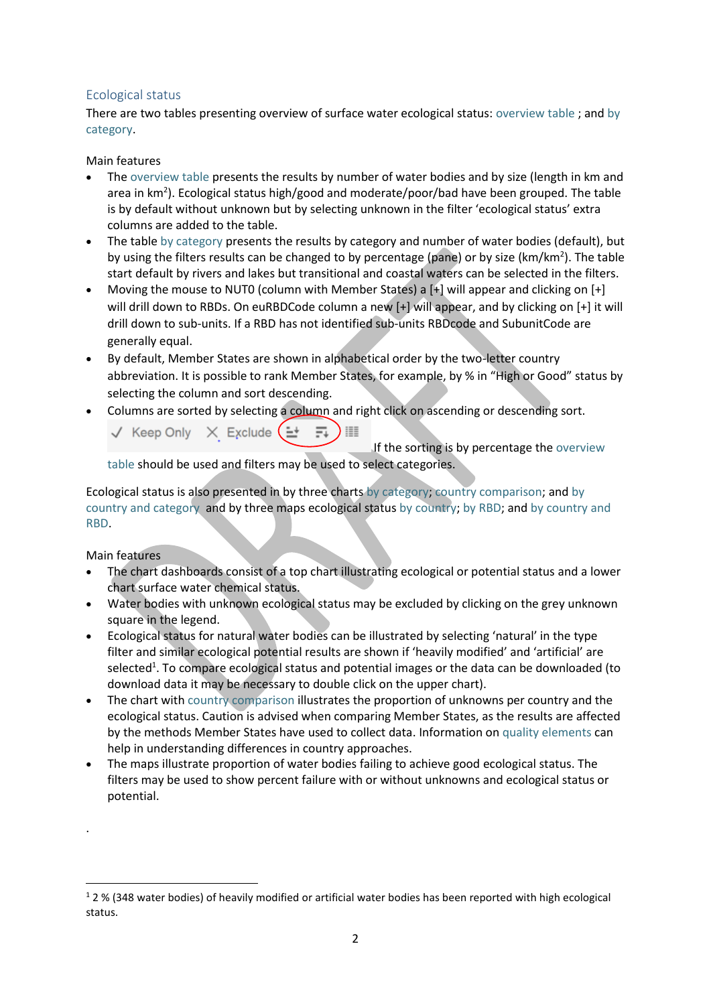# Ecological status

There are two tables presenting overview of surface water ecological status: [overview table](https://tableau.discomap.eea.europa.eu/t/Wateronline/views/WISE_SOW_SurfaceWater_Statistics/SWBbyEcologicalstatusgroup?:embed=y&:showShareOptions=true&:display_count=no&:showVizHome=no) ; and [by](https://tableau.discomap.eea.europa.eu/t/Wateronline/views/WISE_SOW_SurfaceWater_Statistics/SWBbyCategoryandEcologicalstatus?:embed=y&:showShareOptions=true&:display_count=no&:showVizHome=no)  [category.](https://tableau.discomap.eea.europa.eu/t/Wateronline/views/WISE_SOW_SurfaceWater_Statistics/SWBbyCategoryandEcologicalstatus?:embed=y&:showShareOptions=true&:display_count=no&:showVizHome=no)

#### Main features

- The [overview table](https://tableau.discomap.eea.europa.eu/t/Wateronline/views/WISE_SOW_SurfaceWater_Statistics/SWBbyEcologicalstatusgroup?:embed=y&:showShareOptions=true&:display_count=no&:showVizHome=no) presents the results by number of water bodies and by size (length in km and area in km<sup>2</sup>). Ecological status high/good and moderate/poor/bad have been grouped. The table is by default without unknown but by selecting unknown in the filter 'ecological status' extra columns are added to the table.
- The table [by category](https://tableau.discomap.eea.europa.eu/t/Wateronline/views/WISE_SOW_SurfaceWater_Statistics/SWBbyCategoryandEcologicalstatus?:embed=y&:showShareOptions=true&:display_count=no&:showVizHome=no) presents the results by category and number of water bodies (default), but by using the filters results can be changed to by percentage (pane) or by size (km/km<sup>2</sup>). The table start default by rivers and lakes but transitional and coastal waters can be selected in the filters.
- Moving the mouse to NUT0 (column with Member States) a [+] will appear and clicking on [+] will drill down to RBDs. On euRBDCode column a new [+] will appear, and by clicking on [+] it will drill down to sub-units. If a RBD has not identified sub-units RBDcode and SubunitCode are generally equal.
- By default, Member States are shown in alphabetical order by the two-letter country abbreviation. It is possible to rank Member States, for example, by % in "High or Good" status by selecting the column and sort descending.
- Columns are sorted by selecting a column and right click on ascending or descending sort.
	- $\sqrt{ }$  Keep Only  $\sqrt{ }$  Exclude  $($   $\pm$

If the sorting is by percentage th[e overview](https://tableau.discomap.eea.europa.eu/t/Wateronline/views/WISE_SOW_SurfaceWater_Statistics/SWBbyEcologicalstatusgroup?:embed=y&:showShareOptions=true&:display_count=no&:showVizHome=no) 

[table](https://tableau.discomap.eea.europa.eu/t/Wateronline/views/WISE_SOW_SurfaceWater_Statistics/SWBbyEcologicalstatusgroup?:embed=y&:showShareOptions=true&:display_count=no&:showVizHome=no) should be used and filters may be used to select categories.

Ecological status is also presented in by three charts [by category;](https://tableau.discomap.eea.europa.eu/t/Wateronline/views/WISE_SOW_Status/SWB_Status_Category?:embed=y&:showAppBanner=false&:showShareOptions=true&:display_count=no&:showVizHome=no) [country comparison;](https://tableau.discomap.eea.europa.eu/t/Wateronline/views/WISE_SOW_Status/SWB_Status_Country?:embed=y&:showAppBanner=false&:showShareOptions=true&:display_count=no&:showVizHome=no) and [by](https://tableau.discomap.eea.europa.eu/t/Wateronline/views/WISE_SOW_Status/SWB_Status_Category_Country?:embed=y&:showAppBanner=false&:showShareOptions=true&:display_count=no&:showVizHome=no)  [country and category](https://tableau.discomap.eea.europa.eu/t/Wateronline/views/WISE_SOW_Status/SWB_Status_Category_Country?:embed=y&:showAppBanner=false&:showShareOptions=true&:display_count=no&:showVizHome=no) and by three maps ecological statu[s by country;](https://tableau.discomap.eea.europa.eu/t/Wateronline/views/WISE_SOW_SWB_Status_Maps/SWB_Status_NUTS0?iframeSizedToWindow=true&:embed=y&:showAppBanner=false&:display_count=no&:showVizHome=no) [by RBD;](https://tableau.discomap.eea.europa.eu/t/Wateronline/views/WISE_SOW_SWB_Status_Maps/SWB_Status_RBD?iframeSizedToWindow=true&:embed=y&:showAppBanner=false&:display_count=no&:showVizHome=no) and [by country and](https://tableau.discomap.eea.europa.eu/t/Wateronline/views/WISE_SOW_SWB_Status_Maps/SWB_Status_Country?iframeSizedToWindow=true&:embed=y&:showAppBanner=false&:display_count=no&:showVizHome=no)  [RBD.](https://tableau.discomap.eea.europa.eu/t/Wateronline/views/WISE_SOW_SWB_Status_Maps/SWB_Status_Country?iframeSizedToWindow=true&:embed=y&:showAppBanner=false&:display_count=no&:showVizHome=no)

Main features

.

1

- The chart dashboards consist of a top chart illustrating ecological or potential status and a lower chart surface water chemical status.
- Water bodies with unknown ecological status may be excluded by clicking on the grey unknown square in the legend.
- Ecological status for natural water bodies can be illustrated by selecting 'natural' in the type filter and similar ecological potential results are shown if 'heavily modified' and 'artificial' are selected<sup>1</sup>. To compare ecological status and potential images or the data can be downloaded (to download data it may be necessary to double click on the upper chart).
- The chart with [country comparison](https://tableau.discomap.eea.europa.eu/t/Wateronline/views/WISE_SOW_Status/SWB_Status_Country?:embed=y&:showAppBanner=false&:showShareOptions=true&:display_count=no&:showVizHome=no) illustrates the proportion of unknowns per country and the ecological status. Caution is advised when comparing Member States, as the results are affected by the methods Member States have used to collect data. Information o[n quality elements](https://www.eea.europa.eu/themes/water/water-assessments/quality-elements-of-water-bodies) can help in understanding differences in country approaches.
- The maps illustrate proportion of water bodies failing to achieve good ecological status. The filters may be used to show percent failure with or without unknowns and ecological status or potential.

 $12%$  (348 water bodies) of heavily modified or artificial water bodies has been reported with high ecological status.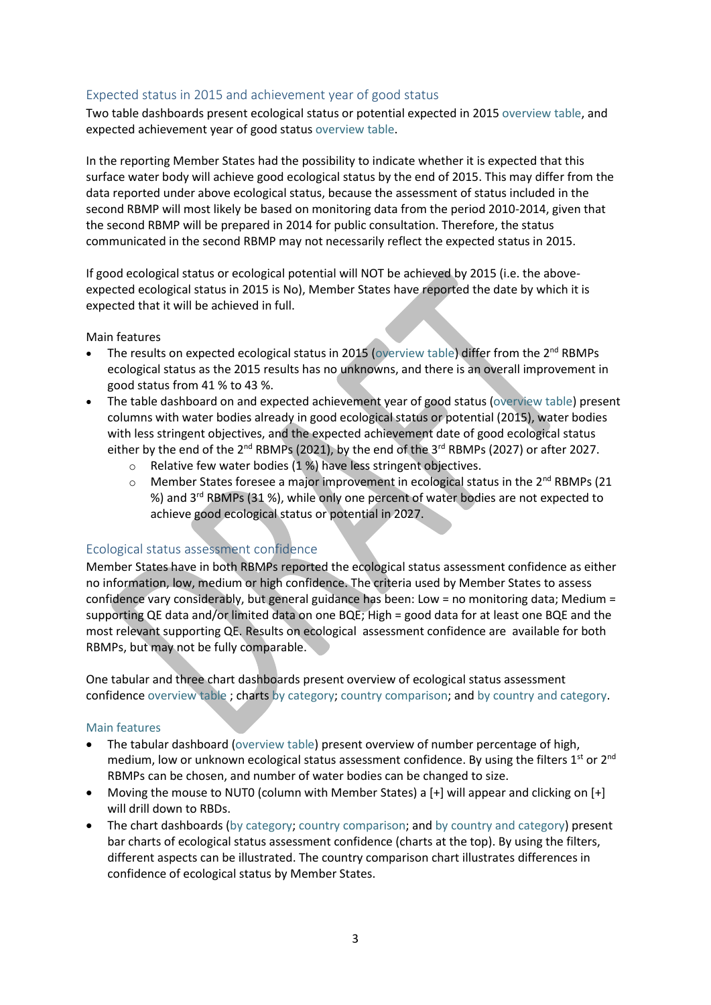## Expected status in 2015 and achievement year of good status

Two table dashboards present ecological status or potential expected in 2015 [overview table,](https://tableau.discomap.eea.europa.eu/t/Wateronline/views/WISE_SOW_SWB_ExpectedStatus/SWB_swEcologicalStatusOrPotentialExpectedGoodIn2015?:embed=y&:showAppBanner=false&:showShareOptions=true&:display_count=no&:showVizHome=no) and expected achievement year of good status [overview table.](https://tableau.discomap.eea.europa.eu/t/Wateronline/views/WISE_SOW_SWB_ExpectedStatus/SWB_EcologicalStatusExpectedDate?:embed=y&:showAppBanner=false&:showShareOptions=true&:display_count=no&:showVizHome=no)

In the reporting Member States had the possibility to indicate whether it is expected that this surface water body will achieve good ecological status by the end of 2015. This may differ from the data reported under above ecological status, because the assessment of status included in the second RBMP will most likely be based on monitoring data from the period 2010-2014, given that the second RBMP will be prepared in 2014 for public consultation. Therefore, the status communicated in the second RBMP may not necessarily reflect the expected status in 2015.

If good ecological status or ecological potential will NOT be achieved by 2015 (i.e. the aboveexpected ecological status in 2015 is No), Member States have reported the date by which it is expected that it will be achieved in full.

Main features

- The results on expected ecological status in 2015 [\(overview table\)](https://tableau.discomap.eea.europa.eu/t/Wateronline/views/WISE_SOW_SWB_ExpectedStatus/SWB_swEcologicalStatusOrPotentialExpectedGoodIn2015?:embed=y&:showAppBanner=false&:showShareOptions=true&:display_count=no&:showVizHome=no) differ from the 2<sup>nd</sup> RBMPs ecological status as the 2015 results has no unknowns, and there is an overall improvement in good status from 41 % to 43 %.
- The table dashboard on and expected achievement year of good status [\(overview table\)](https://tableau.discomap.eea.europa.eu/t/Wateronline/views/WISE_SOW_SWB_ExpectedStatus/SWB_EcologicalStatusExpectedDate?:embed=y&:showAppBanner=false&:showShareOptions=true&:display_count=no&:showVizHome=no) present columns with water bodies already in good ecological status or potential (2015), water bodies with less stringent objectives, and the expected achievement date of good ecological status either by the end of the 2<sup>nd</sup> RBMPs (2021), by the end of the 3<sup>rd</sup> RBMPs (2027) or after 2027.
	- o Relative few water bodies (1 %) have less stringent objectives.
	- $\circ$  Member States foresee a major improvement in ecological status in the 2<sup>nd</sup> RBMPs (21 %) and 3<sup>rd</sup> RBMPs (31 %), while only one percent of water bodies are not expected to achieve good ecological status or potential in 2027.

## Ecological status assessment confidence

Member States have in both RBMPs reported the ecological status assessment confidence as either no information, low, medium or high confidence. The criteria used by Member States to assess confidence vary considerably, but general guidance has been: Low = no monitoring data; Medium = supporting QE data and/or limited data on one BQE; High = good data for at least one BQE and the most relevant supporting QE. Results on ecological assessment confidence are available for both RBMPs, but may not be fully comparable.

One tabular and three chart dashboards present overview of ecological status assessment confidence [overview table](https://tableau.discomap.eea.europa.eu/t/Wateronline/views/WISE_SOW_SWB_ExpectedStatus/SWB_swEcologicalAssessmentConfidence?:embed=y&:showAppBanner=false&:showShareOptions=true&:display_count=no&:showVizHome=no) ; charts [by category;](https://tableau.discomap.eea.europa.eu/t/Wateronline/views/WISE_SOW_AssessmentConfidence/SWB_Confidence_Category?:embed=y&:showAppBanner=false&:showShareOptions=true&:display_count=no&:showVizHome=no) [country comparison;](https://tableau.discomap.eea.europa.eu/t/Wateronline/views/WISE_SOW_AssessmentConfidence/SWB_Confidence_Country?:iid=2&:embed=y&:isGuestRedirectFromVizportal=y&:display_count=no&:showVizHome=no) an[d by country and category.](https://tableau.discomap.eea.europa.eu/t/Wateronline/views/WISE_SOW_AssessmentConfidence/SWB_Confidence_Category_Country?:embed=y&:showAppBanner=false&:showShareOptions=true&:display_count=no&:showVizHome=no)

#### Main features

- The tabular dashboard [\(overview table\)](https://tableau.discomap.eea.europa.eu/t/Wateronline/views/WISE_SOW_SWB_ExpectedStatus/SWB_swEcologicalAssessmentConfidence?:embed=y&:showAppBanner=false&:showShareOptions=true&:display_count=no&:showVizHome=no) present overview of number percentage of high, medium, low or unknown ecological status assessment confidence. By using the filters  $1^{st}$  or  $2^{nd}$ RBMPs can be chosen, and number of water bodies can be changed to size.
- Moving the mouse to NUT0 (column with Member States) a  $[+]$  will appear and clicking on  $[+]$ will drill down to RBDs.
- The chart dashboards [\(by category;](https://tableau.discomap.eea.europa.eu/t/Wateronline/views/WISE_SOW_AssessmentConfidence/SWB_Confidence_Category?:embed=y&:showAppBanner=false&:showShareOptions=true&:display_count=no&:showVizHome=no) [country comparison;](https://tableau.discomap.eea.europa.eu/t/Wateronline/views/WISE_SOW_AssessmentConfidence/SWB_Confidence_Country?:iid=2&:embed=y&:isGuestRedirectFromVizportal=y&:display_count=no&:showVizHome=no) an[d by country and category\)](https://tableau.discomap.eea.europa.eu/t/Wateronline/views/WISE_SOW_AssessmentConfidence/SWB_Confidence_Category_Country?:embed=y&:showAppBanner=false&:showShareOptions=true&:display_count=no&:showVizHome=no) present bar charts of ecological status assessment confidence (charts at the top). By using the filters, different aspects can be illustrated. The country comparison chart illustrates differences in confidence of ecological status by Member States.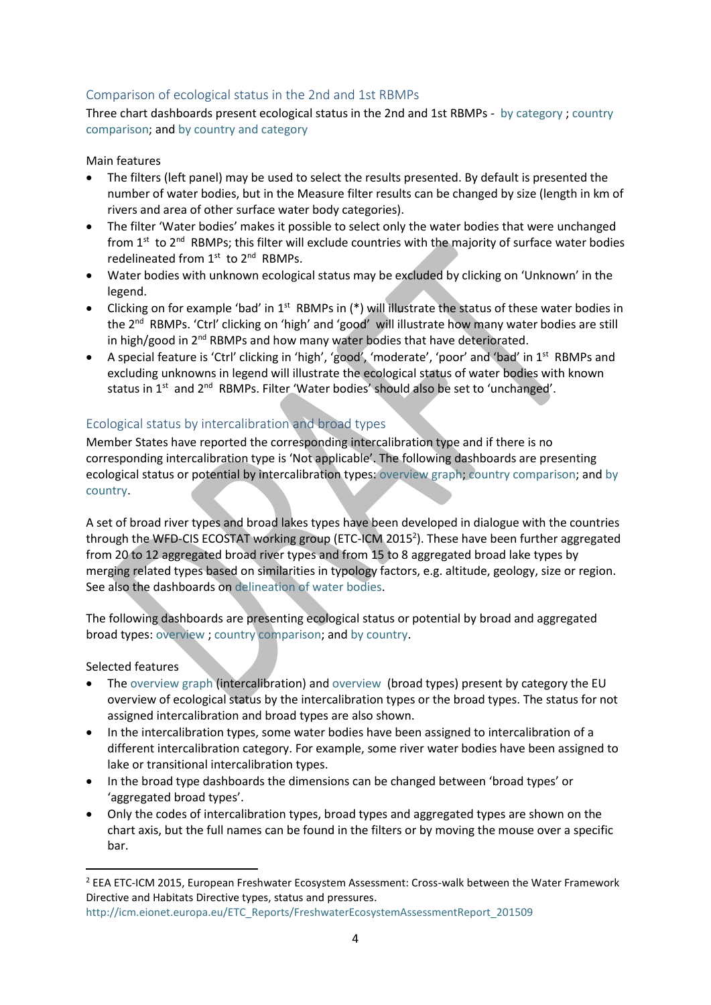# Comparison of ecological status in the 2nd and 1st RBMPs

Three chart dashboards present ecological status in the 2nd and 1st RBMPs - [by category](https://tableau.discomap.eea.europa.eu/t/Wateronline/views/WISE_SOW_SWB_Status_Compare/SWB_EcologicalStatus_Category?:embed=y&:showAppBanner=false&:showShareOptions=true&:display_count=no&:showVizHome=no) ; [country](https://tableau.discomap.eea.europa.eu/t/Wateronline/views/WISE_SOW_SWB_Status_Compare/SWB_EcologicalStatus_Country?:embed=y&:showAppBanner=false&:showShareOptions=true&:display_count=no&:showVizHome=no)  [comparison;](https://tableau.discomap.eea.europa.eu/t/Wateronline/views/WISE_SOW_SWB_Status_Compare/SWB_EcologicalStatus_Country?:embed=y&:showAppBanner=false&:showShareOptions=true&:display_count=no&:showVizHome=no) and [by country and category](https://tableau.discomap.eea.europa.eu/t/Wateronline/views/WISE_SOW_SWB_Status_Compare/SWB_EcologicalStatus_CategoryCountry?:embed=y&:showAppBanner=false&:showShareOptions=true&:display_count=no&:showVizHome=no)

#### Main features

- The filters (left panel) may be used to select the results presented. By default is presented the number of water bodies, but in the Measure filter results can be changed by size (length in km of rivers and area of other surface water body categories).
- The filter 'Water bodies' makes it possible to select only the water bodies that were unchanged from  $1<sup>st</sup>$  to  $2<sup>nd</sup>$  RBMPs; this filter will exclude countries with the majority of surface water bodies redelineated from 1<sup>st</sup> to 2<sup>nd</sup> RBMPs.
- Water bodies with unknown ecological status may be excluded by clicking on 'Unknown' in the legend.
- $\bullet$  Clicking on for example 'bad' in 1<sup>st</sup> RBMPs in (\*) will illustrate the status of these water bodies in the 2nd RBMPs. 'Ctrl' clicking on 'high' and 'good' will illustrate how many water bodies are still in high/good in 2<sup>nd</sup> RBMPs and how many water bodies that have deteriorated.
- A special feature is 'Ctrl' clicking in 'high', 'good', 'moderate', 'poor' and 'bad' in 1st RBMPs and excluding unknowns in legend will illustrate the ecological status of water bodies with known status in 1<sup>st</sup> and 2<sup>nd</sup> RBMPs. Filter 'Water bodies' should also be set to 'unchanged'.

# Ecological status by intercalibration and broad types

Member States have reported the corresponding intercalibration type and if there is no corresponding intercalibration type is 'Not applicable'. The following dashboards are presenting ecological status or potential by intercalibration types: [overview graph;](https://tableau.discomap.eea.europa.eu/t/Wateronline/views/WISE_SOW_SWB_surfaceWaterBodyIntercalibrationType/SWB_Status_IntercalibrationType?iframeSizedToWindow=true&:embed=y&:showAppBanner=false&:display_count=no&:showVizHome=no) [country comparison;](https://tableau.discomap.eea.europa.eu/t/Wateronline/views/WISE_SOW_SWB_surfaceWaterBodyIntercalibrationType/SWB_Status_Country?iframeSizedToWindow=true&:embed=y&:showAppBanner=false&:display_count=no&:showVizHome=no) and [by](https://tableau.discomap.eea.europa.eu/t/Wateronline/views/WISE_SOW_SWB_surfaceWaterBodyIntercalibrationType/SWB_Status_Intercalibration_Country?iframeSizedToWindow=true&:embed=y&:showAppBanner=false&:display_count=no&:showVizHome=no)  [country.](https://tableau.discomap.eea.europa.eu/t/Wateronline/views/WISE_SOW_SWB_surfaceWaterBodyIntercalibrationType/SWB_Status_Intercalibration_Country?iframeSizedToWindow=true&:embed=y&:showAppBanner=false&:display_count=no&:showVizHome=no)

A set of broad river types and broad lakes types have been developed in dialogue with the countries through the WFD-CIS ECOSTAT working group (ETC-ICM 2015<sup>2</sup>). These have been further aggregated from 20 to 12 aggregated broad river types and from 15 to 8 aggregated broad lake types by merging related types based on similarities in typology factors, e.g. altitude, geology, size or region. See also the dashboards o[n delineation of water bodies.](https://www.eea.europa.eu/themes/water/water-assessments/delineation-of-water-bodies)

The following dashboards are presenting ecological status or potential by broad and aggregated broad types[: overview](https://tableau.discomap.eea.europa.eu/t/Wateronline/views/WISE_SOW_BroadType_G/SWB_Status_BroadType?iframeSizedToWindow=true&:embed=y&:showAppBanner=false&:display_count=no&:showVizHome=no) ; [country comparison;](https://tableau.discomap.eea.europa.eu/t/Wateronline/views/WISE_SOW_BroadType_G/SWB_Status_Country?iframeSizedToWindow=true&:embed=y&:showAppBanner=false&:display_count=no&:showVizHome=no) and [by country.](https://tableau.discomap.eea.europa.eu/t/Wateronline/views/WISE_SOW_BroadType_G/SWB_Status_BroadType_Country?iframeSizedToWindow=true&:embed=y&:showAppBanner=false&:display_count=no&:showVizHome=no)

#### Selected features

**.** 

- The [overview graph](https://tableau.discomap.eea.europa.eu/t/Wateronline/views/WISE_SOW_SWB_surfaceWaterBodyIntercalibrationType/SWB_Status_IntercalibrationType?iframeSizedToWindow=true&:embed=y&:showAppBanner=false&:display_count=no&:showVizHome=no) (intercalibration) and [overview](https://tableau.discomap.eea.europa.eu/t/Wateronline/views/WISE_SOW_BroadType_G/SWB_Status_BroadType?iframeSizedToWindow=true&:embed=y&:showAppBanner=false&:display_count=no&:showVizHome=no) (broad types) present by category the EU overview of ecological status by the intercalibration types or the broad types. The status for not assigned intercalibration and broad types are also shown.
- In the intercalibration types, some water bodies have been assigned to intercalibration of a different intercalibration category. For example, some river water bodies have been assigned to lake or transitional intercalibration types.
- In the broad type dashboards the dimensions can be changed between 'broad types' or 'aggregated broad types'.
- Only the codes of intercalibration types, broad types and aggregated types are shown on the chart axis, but the full names can be found in the filters or by moving the mouse over a specific bar.

<sup>2</sup> EEA ETC-ICM 2015, European Freshwater Ecosystem Assessment: Cross-walk between the Water Framework Directive and Habitats Directive types, status and pressures.

[http://icm.eionet.europa.eu/ETC\\_Reports/FreshwaterEcosystemAssessmentReport\\_201509](http://icm.eionet.europa.eu/ETC_Reports/FreshwaterEcosystemAssessmentReport_201509)